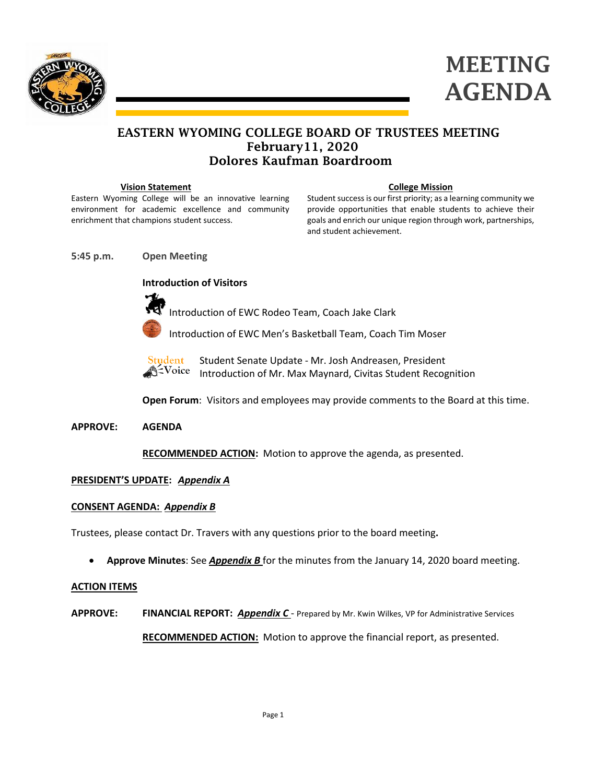



# EASTERN WYOMING COLLEGE BOARD OF TRUSTEES MEETING February11, 2020 Dolores Kaufman Boardroom

#### **Vision Statement**

Eastern Wyoming College will be an innovative learning environment for academic excellence and community enrichment that champions student success.

#### **College Mission**

Student success is our first priority; as a learning community we provide opportunities that enable students to achieve their goals and enrich our unique region through work, partnerships, and student achievement.

**5:45 p.m. Open Meeting**

**Introduction of Visitors**



Introduction of EWC Rodeo Team, Coach Jake Clark



Introduction of EWC Men's Basketball Team, Coach Tim Moser



Student Senate Update - Mr. Josh Andreasen, President Introduction of Mr. Max Maynard, Civitas Student Recognition

**Open Forum**: Visitors and employees may provide comments to the Board at this time.

### **APPROVE: AGENDA**

**RECOMMENDED ACTION:** Motion to approve the agenda, as presented.

## **PRESIDENT'S UPDATE:** *Appendix A*

### **CONSENT AGENDA:** *Appendix B*

Trustees, please contact Dr. Travers with any questions prior to the board meeting**.**

• **Approve Minutes**: See *Appendix B* for the minutes from the January 14, 2020 board meeting.

### **ACTION ITEMS**

**APPROVE: FINANCIAL REPORT:** *Appendix C* - Prepared by Mr. Kwin Wilkes, VP for Administrative Services

**RECOMMENDED ACTION:** Motion to approve the financial report, as presented.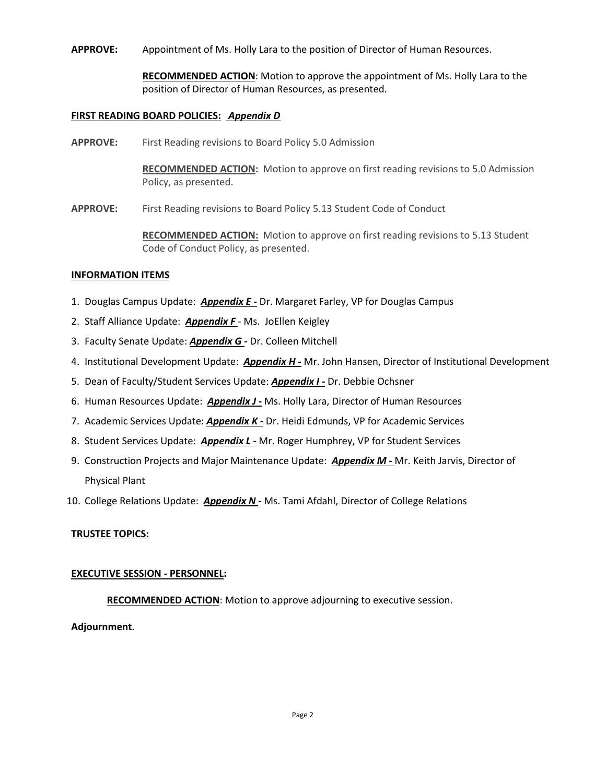**APPROVE:** Appointment of Ms. Holly Lara to the position of Director of Human Resources.

**RECOMMENDED ACTION**: Motion to approve the appointment of Ms. Holly Lara to the position of Director of Human Resources, as presented.

### **FIRST READING BOARD POLICIES:** *Appendix D*

**APPROVE:** First Reading revisions to Board Policy 5.0 Admission

**RECOMMENDED ACTION:** Motion to approve on first reading revisions to 5.0 Admission Policy, as presented.

**APPROVE:** First Reading revisions to Board Policy 5.13 Student Code of Conduct

**RECOMMENDED ACTION:** Motion to approve on first reading revisions to 5.13 Student Code of Conduct Policy, as presented.

#### **INFORMATION ITEMS**

- 1. Douglas Campus Update: *Appendix E -* Dr. Margaret Farley, VP for Douglas Campus
- 2. Staff Alliance Update: *Appendix F* Ms. JoEllen Keigley
- 3. Faculty Senate Update: *Appendix G -* Dr. Colleen Mitchell
- 4. Institutional Development Update: *Appendix H -* Mr. John Hansen, Director of Institutional Development
- 5. Dean of Faculty/Student Services Update: *Appendix I* **-** Dr. Debbie Ochsner
- 6. Human Resources Update: *Appendix J -* Ms. Holly Lara, Director of Human Resources
- 7. Academic Services Update: *Appendix K -* Dr. Heidi Edmunds, VP for Academic Services
- 8. Student Services Update: *Appendix L* **-** Mr. Roger Humphrey, VP for Student Services
- 9. Construction Projects and Major Maintenance Update: *Appendix M* **-** Mr. Keith Jarvis, Director of Physical Plant
- 10. College Relations Update: *Appendix N* **-** Ms. Tami Afdahl, Director of College Relations

#### **TRUSTEE TOPICS:**

#### **EXECUTIVE SESSION - PERSONNEL:**

**RECOMMENDED ACTION**: Motion to approve adjourning to executive session.

### **Adjournment**.